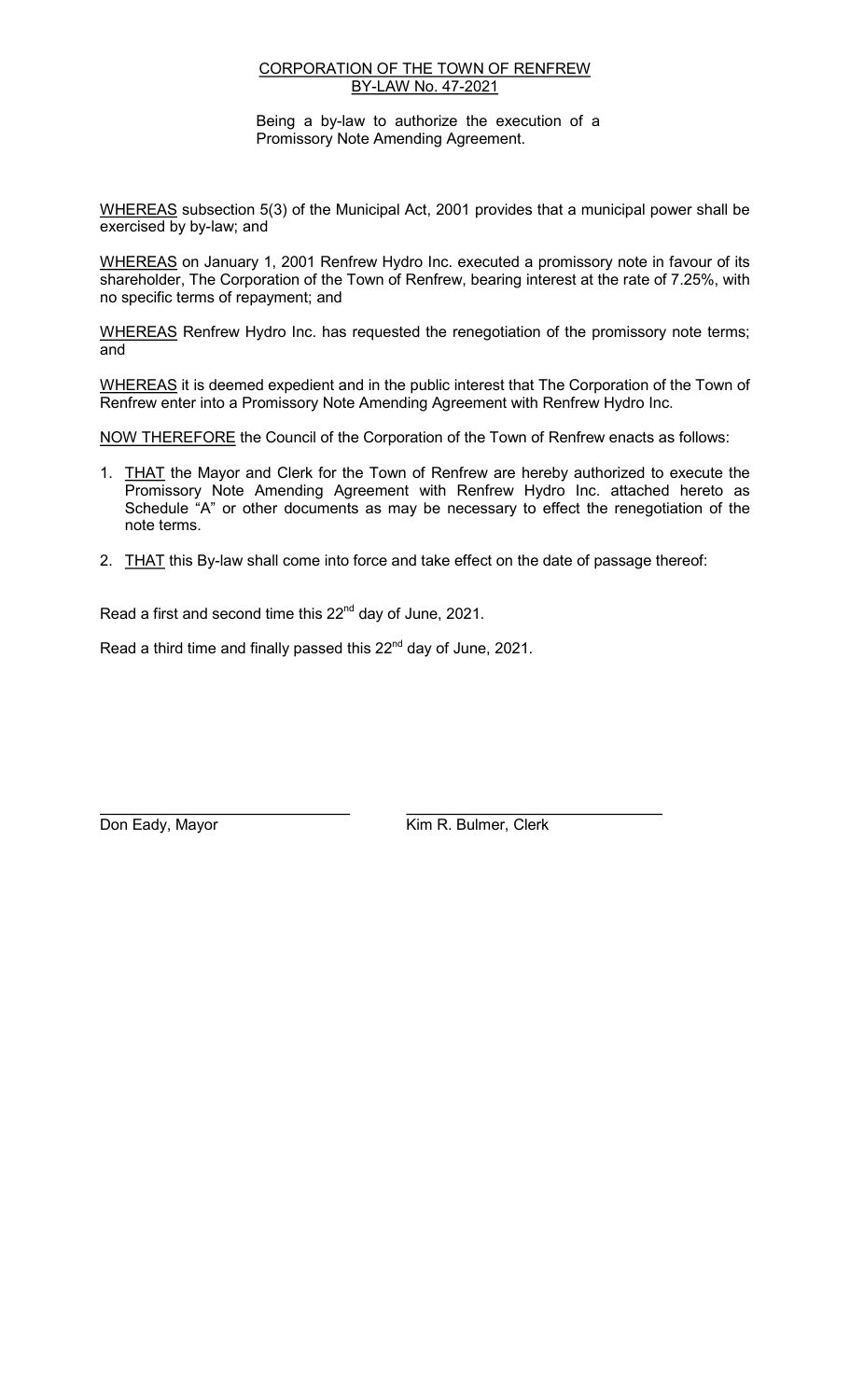## CORPORATION OF THE TOWN OF RENFREW BY-LAW No. 47-2021

Being a by-law to authorize the execution of a Promissory Note Amending Agreement.

WHEREAS subsection 5(3) of the Municipal Act, 2001 provides that a municipal power shall be exercised by by-law; and

WHEREAS on January 1, 2001 Renfrew Hydro Inc. executed a promissory note in favour of its shareholder, The Corporation of the Town of Renfrew, bearing interest at the rate of 7.25%, with no specific terms of repayment; and

WHEREAS Renfrew Hydro Inc. has requested the renegotiation of the promissory note terms; and

WHEREAS it is deemed expedient and in the public interest that The Corporation of the Town of Renfrew enter into a Promissory Note Amending Agreement with Renfrew Hydro Inc.

NOW THEREFORE the Council of the Corporation of the Town of Renfrew enacts as follows:

- 1. THAT the Mayor and Clerk for the Town of Renfrew are hereby authorized to execute the Promissory Note Amending Agreement with Renfrew Hydro Inc. attached hereto as Schedule "A" or other documents as may be necessary to effect the renegotiation of the note terms.
- 2. THAT this By-law shall come into force and take effect on the date of passage thereof:

Read a first and second time this 22<sup>nd</sup> day of June, 2021.

Read a third time and finally passed this  $22<sup>nd</sup>$  day of June, 2021.

Don Eady, Mayor **Kim R. Bulmer, Clerk**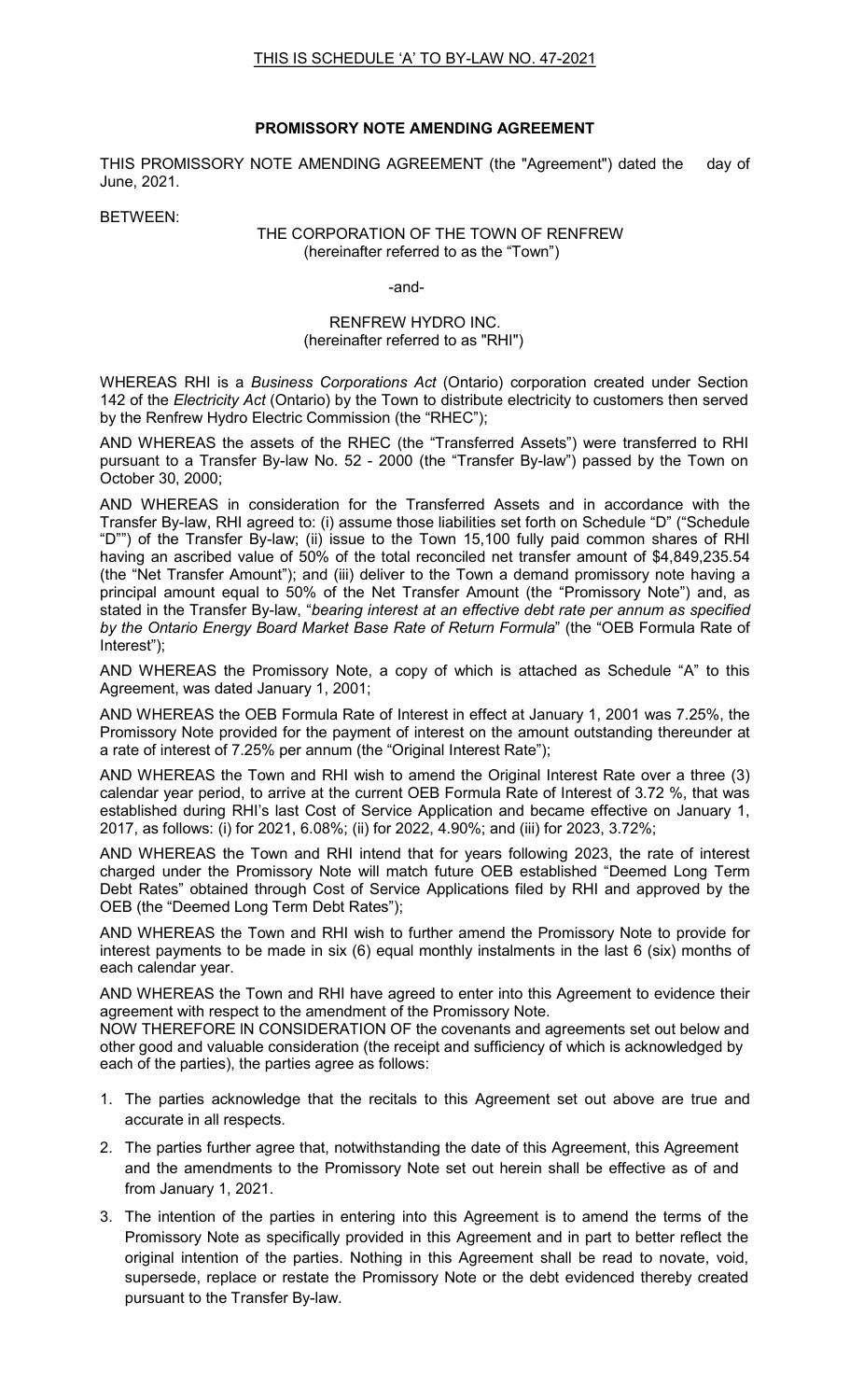## **PROMISSORY NOTE AMENDING AGREEMENT**

THIS PROMISSORY NOTE AMENDING AGREEMENT (the "Agreement") dated the day of June, 2021.

BETWEEN:

## THE CORPORATION OF THE TOWN OF RENFREW (hereinafter referred to as the "Town")

-and-

## RENFREW HYDRO INC. (hereinafter referred to as "RHI")

WHEREAS RHI is a *Business Corporations Act* (Ontario) corporation created under Section 142 of the *Electricity Act* (Ontario) by the Town to distribute electricity to customers then served by the Renfrew Hydro Electric Commission (the "RHEC");

AND WHEREAS the assets of the RHEC (the "Transferred Assets") were transferred to RHI pursuant to a Transfer By-law No. 52 - 2000 (the "Transfer By-law") passed by the Town on October 30, 2000;

AND WHEREAS in consideration for the Transferred Assets and in accordance with the Transfer By-law, RHI agreed to: (i) assume those liabilities set forth on Schedule "D" ("Schedule "D"") of the Transfer By-law; (ii) issue to the Town 15,100 fully paid common shares of RHI having an ascribed value of 50% of the total reconciled net transfer amount of \$4,849,235.54 (the "Net Transfer Amount"); and (iii) deliver to the Town a demand promissory note having a principal amount equal to 50% of the Net Transfer Amount (the "Promissory Note") and, as stated in the Transfer By-law, "*bearing interest at an effective debt rate per annum as specified by the Ontario Energy Board Market Base Rate of Return Formula*" (the "OEB Formula Rate of Interest");

AND WHEREAS the Promissory Note, a copy of which is attached as Schedule "A" to this Agreement, was dated January 1, 2001;

AND WHEREAS the OEB Formula Rate of Interest in effect at January 1, 2001 was 7.25%, the Promissory Note provided for the payment of interest on the amount outstanding thereunder at a rate of interest of 7.25% per annum (the "Original Interest Rate");

AND WHEREAS the Town and RHI wish to amend the Original Interest Rate over a three (3) calendar year period, to arrive at the current OEB Formula Rate of Interest of 3.72 %, that was established during RHI's last Cost of Service Application and became effective on January 1, 2017, as follows: (i) for 2021, 6.08%; (ii) for 2022, 4.90%; and (iii) for 2023, 3.72%;

AND WHEREAS the Town and RHI intend that for years following 2023, the rate of interest charged under the Promissory Note will match future OEB established "Deemed Long Term Debt Rates" obtained through Cost of Service Applications filed by RHI and approved by the OEB (the "Deemed Long Term Debt Rates");

AND WHEREAS the Town and RHI wish to further amend the Promissory Note to provide for interest payments to be made in six (6) equal monthly instalments in the last 6 (six) months of each calendar year.

AND WHEREAS the Town and RHI have agreed to enter into this Agreement to evidence their agreement with respect to the amendment of the Promissory Note.

NOW THEREFORE lN CONSIDERATION OF the covenants and agreements set out below and other good and valuable consideration (the receipt and sufficiency of which is acknowledged by each of the parties), the parties agree as follows:

- 1. The parties acknowledge that the recitals to this Agreement set out above are true and accurate in all respects.
- 2. The parties further agree that, notwithstanding the date of this Agreement, this Agreement and the amendments to the Promissory Note set out herein shall be effective as of and from January 1, 2021.
- 3. The intention of the parties in entering into this Agreement is to amend the terms of the Promissory Note as specifically provided in this Agreement and in part to better reflect the original intention of the parties. Nothing in this Agreement shall be read to novate, void, supersede, replace or restate the Promissory Note or the debt evidenced thereby created pursuant to the Transfer By-law.